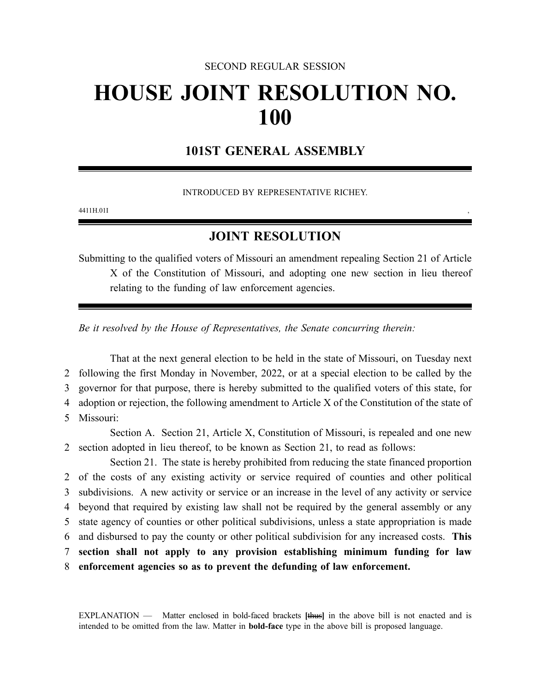#### SECOND REGULAR SESSION

# **HOUSE JOINT RESOLUTION NO. 100**

## **101ST GENERAL ASSEMBLY**

#### INTRODUCED BY REPRESENTATIVE RICHEY.

4411H.01I ,

## **JOINT RESOLUTION**

Submitting to the qualified voters of Missouri an amendment repealing Section 21 of Article X of the Constitution of Missouri, and adopting one new section in lieu thereof relating to the funding of law enforcement agencies.

*Be it resolved by the House of Representatives, the Senate concurring therein:*

That at the next general election to be held in the state of Missouri, on Tuesday next following the first Monday in November, 2022, or at a special election to be called by the governor for that purpose, there is hereby submitted to the qualified voters of this state, for adoption or rejection, the following amendment to Article X of the Constitution of the state of Missouri: Section A. Section 21, Article X, Constitution of Missouri, is repealed and one new section adopted in lieu thereof, to be known as Section 21, to read as follows: Section 21. The state is hereby prohibited from reducing the state financed proportion of the costs of any existing activity or service required of counties and other political subdivisions. A new activity or service or an increase in the level of any activity or service beyond that required by existing law shall not be required by the general assembly or any state agency of counties or other political subdivisions, unless a state appropriation is made and disbursed to pay the county or other political subdivision for any increased costs. **This section shall not apply to any provision establishing minimum funding for law enforcement agencies so as to prevent the defunding of law enforcement.**

EXPLANATION — Matter enclosed in bold-faced brackets **[**thus**]** in the above bill is not enacted and is intended to be omitted from the law. Matter in **bold-face** type in the above bill is proposed language.